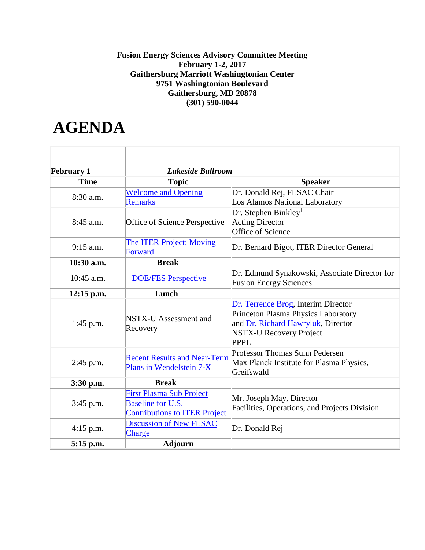## **Fusion Energy Sciences Advisory Committee Meeting February 1-2, 2017 Gaithersburg Marriott Washingtonian Center 9751 Washingtonian Boulevard Gaithersburg, MD 20878 (301) 590-0044**

## **AGENDA**

| <b>February 1</b> | Lakeside Ballroom                                               |                                               |  |
|-------------------|-----------------------------------------------------------------|-----------------------------------------------|--|
| <b>Time</b>       | <b>Topic</b>                                                    | <b>Speaker</b>                                |  |
| 8:30 a.m.         | <b>Welcome and Opening</b>                                      | Dr. Donald Rej, FESAC Chair                   |  |
|                   | <b>Remarks</b>                                                  | Los Alamos National Laboratory                |  |
| 8:45 a.m.         |                                                                 | Dr. Stephen Binkley <sup>1</sup>              |  |
|                   | Office of Science Perspective                                   | <b>Acting Director</b>                        |  |
|                   |                                                                 | Office of Science                             |  |
| $9:15$ a.m.       | <b>The ITER Project: Moving</b>                                 | Dr. Bernard Bigot, ITER Director General      |  |
|                   | Forward                                                         |                                               |  |
| 10:30 a.m.        | <b>Break</b>                                                    |                                               |  |
| $10:45$ a.m.      | <b>DOE/FES Perspective</b>                                      | Dr. Edmund Synakowski, Associate Director for |  |
|                   |                                                                 | <b>Fusion Energy Sciences</b>                 |  |
| 12:15 p.m.        | Lunch                                                           |                                               |  |
|                   | NSTX-U Assessment and<br>Recovery                               | Dr. Terrence Brog, Interim Director           |  |
|                   |                                                                 | Princeton Plasma Physics Laboratory           |  |
| $1:45$ p.m.       |                                                                 | and Dr. Richard Hawryluk, Director            |  |
|                   |                                                                 | <b>NSTX-U Recovery Project</b>                |  |
|                   |                                                                 | <b>PPPL</b>                                   |  |
| $2:45$ p.m.       | <b>Recent Results and Near-Term</b><br>Plans in Wendelstein 7-X | Professor Thomas Sunn Pedersen                |  |
|                   |                                                                 | Max Planck Institute for Plasma Physics,      |  |
|                   |                                                                 | Greifswald                                    |  |
| $3:30$ p.m.       | <b>Break</b>                                                    |                                               |  |
| $3:45$ p.m.       | <b>First Plasma Sub Project</b>                                 | Mr. Joseph May, Director                      |  |
|                   | <b>Baseline for U.S.</b>                                        | Facilities, Operations, and Projects Division |  |
|                   | <b>Contributions to ITER Project</b>                            |                                               |  |
| $4:15$ p.m.       | Discussion of New FESAC                                         | Dr. Donald Rej                                |  |
|                   | <b>Charge</b>                                                   |                                               |  |
| 5:15 p.m.         | <b>Adjourn</b>                                                  |                                               |  |